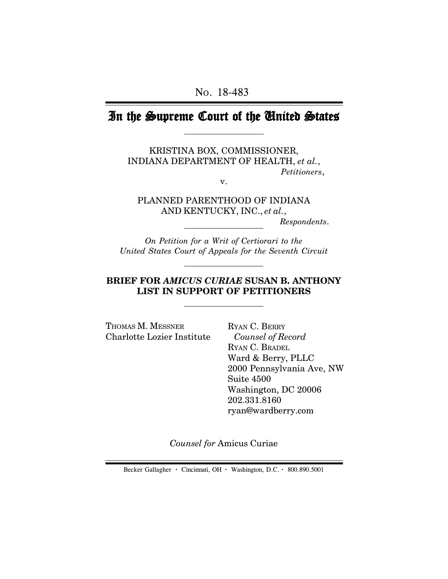# In the Supreme Court of the United States

KRISTINA BOX, COMMISSIONER, INDIANA DEPARTMENT OF HEALTH, *et al.*, *Petitioners*,

v.

PLANNED PARENTHOOD OF INDIANA AND KENTUCKY, INC., *et al.*,

 *Respondents*.

*On Petition for a Writ of Certiorari to the United States Court of Appeals for the Seventh Circuit*

## **BRIEF FOR** *AMICUS CURIAE* **SUSAN B. ANTHONY LIST IN SUPPORT OF PETITIONERS**

THOMAS M. MESSNER Charlotte Lozier Institute

RYAN C. BERRY *Counsel of Record* RYAN C. BRADEL Ward & Berry, PLLC 2000 Pennsylvania Ave, NW Suite 4500 Washington, DC 20006 202.331.8160 ryan@wardberry.com

*Counsel for* Amicus Curiae

Becker Gallagher **·** Cincinnati, OH **·** Washington, D.C. **·** 800.890.5001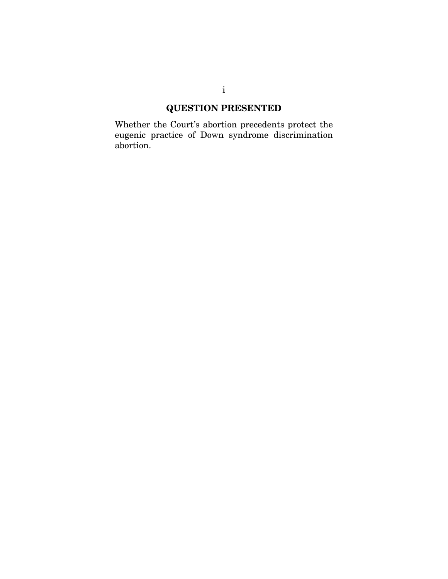# **QUESTION PRESENTED**

Whether the Court's abortion precedents protect the eugenic practice of Down syndrome discrimination abortion.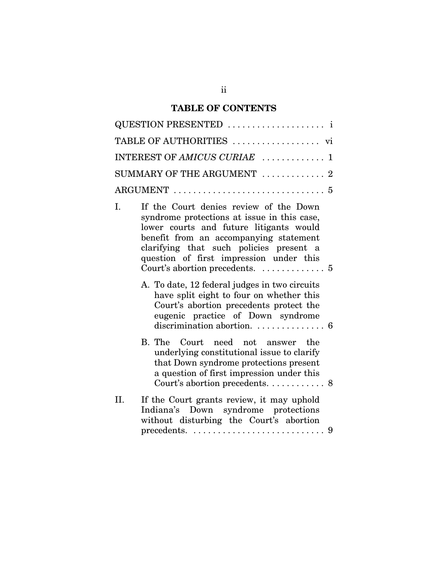## **TABLE OF CONTENTS**

| QUESTION PRESENTED  i                                                                                                                                                                                                                                                  |
|------------------------------------------------------------------------------------------------------------------------------------------------------------------------------------------------------------------------------------------------------------------------|
|                                                                                                                                                                                                                                                                        |
| INTEREST OF AMICUS CURIAE  1                                                                                                                                                                                                                                           |
| SUMMARY OF THE ARGUMENT $\ldots \ldots \ldots \ldots$                                                                                                                                                                                                                  |
|                                                                                                                                                                                                                                                                        |
| If the Court denies review of the Down<br>L.<br>syndrome protections at issue in this case,<br>lower courts and future litigants would<br>benefit from an accompanying statement<br>clarifying that such policies present a<br>question of first impression under this |
| A. To date, 12 federal judges in two circuits<br>have split eight to four on whether this<br>Court's abortion precedents protect the<br>eugenic practice of Down syndrome                                                                                              |
| B. The Court need not answer the<br>underlying constitutional issue to clarify<br>that Down syndrome protections present<br>a question of first impression under this                                                                                                  |
| If the Court grants review, it may uphold<br>II.<br>Indiana's Down syndrome protections<br>without disturbing the Court's abortion                                                                                                                                     |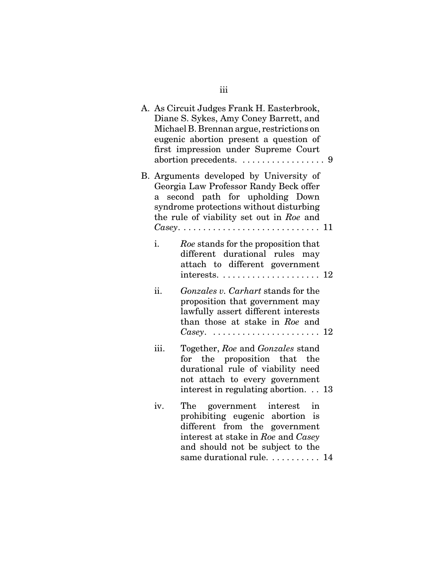|      | A. As Circuit Judges Frank H. Easterbrook,<br>Diane S. Sykes, Amy Coney Barrett, and<br>Michael B. Brennan argue, restrictions on<br>eugenic abortion present a question of<br>first impression under Supreme Court                                                                        |  |
|------|--------------------------------------------------------------------------------------------------------------------------------------------------------------------------------------------------------------------------------------------------------------------------------------------|--|
| a    | B. Arguments developed by University of<br>Georgia Law Professor Randy Beck offer<br>second path for upholding Down<br>syndrome protections without disturbing<br>the rule of viability set out in Roe and<br>$\textit{Casey}. \ldots \ldots \ldots \ldots \ldots \ldots \ldots \ldots 11$ |  |
| i.   | Roe stands for the proposition that<br>different durational rules may<br>attach to different government                                                                                                                                                                                    |  |
| ii.  | Gonzales v. Carhart stands for the<br>proposition that government may<br>lawfully assert different interests<br>than those at stake in Roe and<br>Casey. $\ldots \ldots \ldots \ldots \ldots \ldots \ldots 12$                                                                             |  |
| iii. | Together, Roe and Gonzales stand<br>for the proposition that the<br>durational rule of viability need<br>not attach to every government<br>interest in regulating abortion. 13                                                                                                             |  |
| iv.  | The government interest in<br>prohibiting eugenic abortion is<br>different from the government<br>interest at stake in Roe and Casey<br>and should not be subject to the<br>same durational rule.  14                                                                                      |  |

iii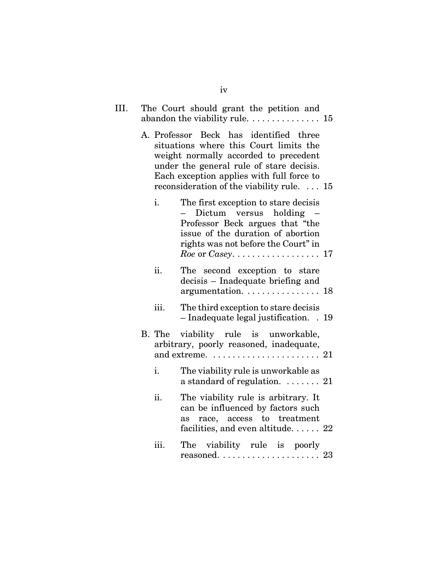| III. |      | The Court should grant the petition and                                                                                                                                                                                                                          |
|------|------|------------------------------------------------------------------------------------------------------------------------------------------------------------------------------------------------------------------------------------------------------------------|
|      |      | A. Professor Beck has identified three<br>situations where this Court limits the<br>weight normally accorded to precedent<br>under the general rule of stare decisis.<br>Each exception applies with full force to<br>reconsideration of the viability rule.  15 |
|      | i.   | The first exception to stare decisis<br>Dictum versus holding<br>Professor Beck argues that "the<br>issue of the duration of abortion<br>rights was not before the Court" in<br>Roe or Casey. $\dots \dots \dots \dots \dots \dots \dots 17$                     |
|      | ii.  | The second exception to stare<br>decisis - Inadequate briefing and<br>argumentation. 18                                                                                                                                                                          |
|      | iii. | The third exception to stare decisis<br>$-$ Inadequate legal justification. $\,$ . 19                                                                                                                                                                            |
|      |      | B. The viability rule is unworkable,<br>arbitrary, poorly reasoned, inadequate,<br>and extreme. $\dots\dots\dots\dots\dots\dots\dots$ 21                                                                                                                         |
|      | i.   | The viability rule is unworkable as<br>a standard of regulation. $\ldots \ldots$ 21                                                                                                                                                                              |
|      | ii.  | The viability rule is arbitrary. It<br>can be influenced by factors such<br>as race, access to treatment<br>facilities, and even altitude $22$                                                                                                                   |
|      | iii. | The viability rule is poorly<br>$reasoned. \ldots \ldots \ldots \ldots \ldots \ldots 23$                                                                                                                                                                         |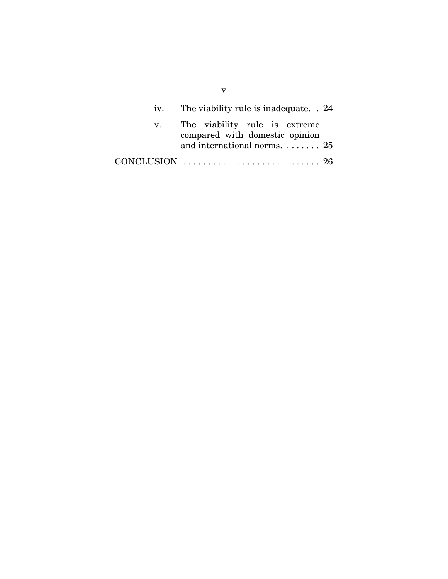| iv. The viability rule is inadequate. . 24                                                                      |  |
|-----------------------------------------------------------------------------------------------------------------|--|
| v. The viability rule is extreme<br>compared with domestic opinion<br>and international norms. $\dots \dots 25$ |  |
|                                                                                                                 |  |

v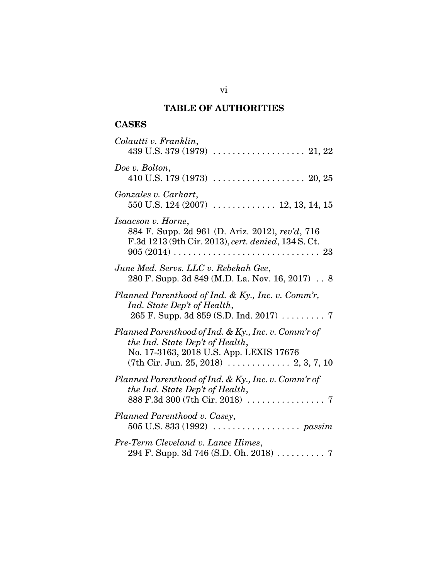## **TABLE OF AUTHORITIES**

## **CASES**

| Colautti v. Franklin,                                                                                                                                                                                   |
|---------------------------------------------------------------------------------------------------------------------------------------------------------------------------------------------------------|
| Doe v. Bolton,                                                                                                                                                                                          |
| Gonzales v. Carhart,                                                                                                                                                                                    |
| Isaacson v. Horne,<br>884 F. Supp. 2d 961 (D. Ariz. 2012), rev'd, 716<br>F.3d 1213 (9th Cir. 2013), cert. denied, 134 S. Ct.                                                                            |
| June Med. Servs. LLC v. Rebekah Gee,<br>280 F. Supp. 3d 849 (M.D. La. Nov. 16, 2017) 8                                                                                                                  |
| Planned Parenthood of Ind. & Ky., Inc. v. Comm'r,<br>Ind. State Dep't of Health,                                                                                                                        |
| Planned Parenthood of Ind. & Ky., Inc. v. Comm'r of<br>the Ind. State Dep't of Health,<br>No. 17-3163, 2018 U.S. App. LEXIS 17676<br>$(7th Cir. Jun. 25, 2018) \ldots \ldots \ldots \ldots 2, 3, 7, 10$ |
| Planned Parenthood of Ind. & Ky., Inc. v. Comm'r of<br>the Ind. State Dep't of Health,                                                                                                                  |
| Planned Parenthood v. Casey,<br>505 U.S. 833 (1992) $\ldots \ldots \ldots \ldots \ldots$ passim                                                                                                         |
| Pre-Term Cleveland v. Lance Himes,<br>294 F. Supp. 3d 746 (S.D. Oh. 2018) 7                                                                                                                             |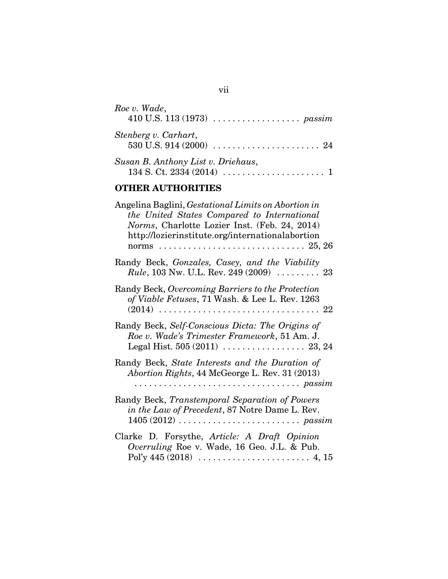| Roe v. Wade,<br>410 U.S. 113 (1973) $\ldots \ldots \ldots \ldots \ldots$ passim |
|---------------------------------------------------------------------------------|
| Stenberg v. Carhart,                                                            |
| Susan B. Anthony List v. Driehaus,                                              |

## **OTHER AUTHORITIES**

| Angelina Baglini, <i>Gestational Limits on Abortion in</i><br>the United States Compared to International<br>Norms, Charlotte Lozier Inst. (Feb. 24, 2014)<br>http://lozierinstitute.org/internationalabortion |
|----------------------------------------------------------------------------------------------------------------------------------------------------------------------------------------------------------------|
| Randy Beck, Gonzales, Casey, and the Viability<br><i>Rule</i> , 103 Nw. U.L. Rev. 249 (2009) $\ldots$ 23                                                                                                       |
| Randy Beck, Overcoming Barriers to the Protection<br>of Viable Fetuses, 71 Wash. & Lee L. Rev. 1263                                                                                                            |
| Randy Beck, Self-Conscious Dicta: The Origins of<br>Roe v. Wade's Trimester Framework, 51 Am. J.                                                                                                               |
| Randy Beck, State Interests and the Duration of<br>Abortion Rights, 44 McGeorge L. Rev. 31 (2013)<br>$\ldots \ldots \ldots \ldots \ldots \ldots \ldots$                                                        |
| Randy Beck, Transtemporal Separation of Powers<br>in the Law of Precedent, 87 Notre Dame L. Rev.<br>$1405 (2012) \ldots \ldots \ldots \ldots \ldots \ldots \ldots \ldots \text{passim}$                        |
| Clarke D. Forsythe, Article: A Draft Opinion<br>Overruling Roe v. Wade, 16 Geo. J.L. & Pub.                                                                                                                    |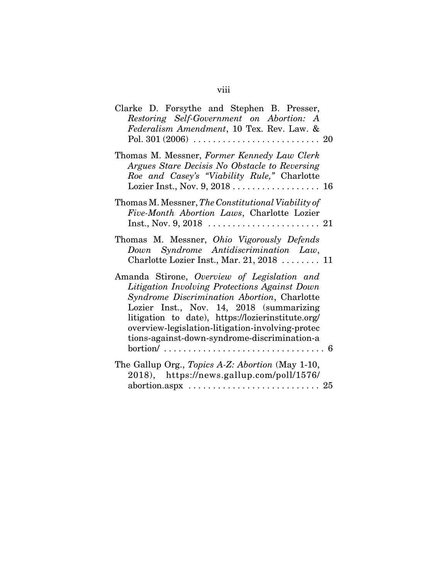# viii

| Clarke D. Forsythe and Stephen B. Presser,                                                                  |  |
|-------------------------------------------------------------------------------------------------------------|--|
| Restoring Self-Government on Abortion: A                                                                    |  |
| Federalism Amendment, 10 Tex. Rev. Law. &                                                                   |  |
|                                                                                                             |  |
|                                                                                                             |  |
| Thomas M. Messner, Former Kennedy Law Clerk                                                                 |  |
| Argues Stare Decisis No Obstacle to Reversing                                                               |  |
| Roe and Casey's "Viability Rule," Charlotte                                                                 |  |
|                                                                                                             |  |
|                                                                                                             |  |
| Thomas M. Messner, The Constitutional Viability of                                                          |  |
| Five-Month Abortion Laws, Charlotte Lozier                                                                  |  |
|                                                                                                             |  |
|                                                                                                             |  |
| Thomas M. Messner, Ohio Vigorously Defends                                                                  |  |
| Down Syndrome Antidiscrimination Law,                                                                       |  |
|                                                                                                             |  |
| Charlotte Lozier Inst., Mar. 21, 2018  11                                                                   |  |
| Amanda Stirone, Overview of Legislation and                                                                 |  |
| Litigation Involving Protections Against Down                                                               |  |
|                                                                                                             |  |
| Syndrome Discrimination Abortion, Charlotte                                                                 |  |
| Lozier Inst., Nov. 14, 2018 (summarizing                                                                    |  |
| litigation to date), https://lozierinstitute.org/                                                           |  |
| overview-legislation-litigation-involving-protec                                                            |  |
| tions-against-down-syndrome-discrimination-a                                                                |  |
| $\text{bortion}/\ldots \ldots \ldots \ldots \ldots \ldots \ldots \ldots \ldots \ldots \ldots \ldots \ldots$ |  |
|                                                                                                             |  |
| The Gallup Org., Topics A-Z: Abortion (May 1-10,                                                            |  |
| 2018), https://news.gallup.com/poll/1576/                                                                   |  |
|                                                                                                             |  |
|                                                                                                             |  |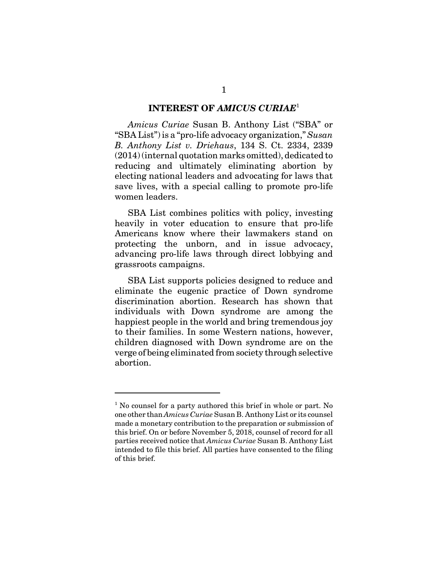#### **INTEREST OF** *AMICUS CURIAE*<sup>1</sup>

*Amicus Curiae* Susan B. Anthony List ("SBA" or "SBA List") is a "pro-life advocacy organization," *Susan B. Anthony List v. Driehaus*, 134 S. Ct. 2334, 2339 (2014) (internal quotation marks omitted), dedicated to reducing and ultimately eliminating abortion by electing national leaders and advocating for laws that save lives, with a special calling to promote pro-life women leaders.

SBA List combines politics with policy, investing heavily in voter education to ensure that pro-life Americans know where their lawmakers stand on protecting the unborn, and in issue advocacy, advancing pro-life laws through direct lobbying and grassroots campaigns.

SBA List supports policies designed to reduce and eliminate the eugenic practice of Down syndrome discrimination abortion. Research has shown that individuals with Down syndrome are among the happiest people in the world and bring tremendous joy to their families. In some Western nations, however, children diagnosed with Down syndrome are on the verge of being eliminated from society through selective abortion.

<sup>&</sup>lt;sup>1</sup> No counsel for a party authored this brief in whole or part. No one other than *Amicus Curiae* Susan B. Anthony List or its counsel made a monetary contribution to the preparation or submission of this brief. On or before November 5, 2018, counsel of record for all parties received notice that *Amicus Curiae* Susan B. Anthony List intended to file this brief. All parties have consented to the filing of this brief.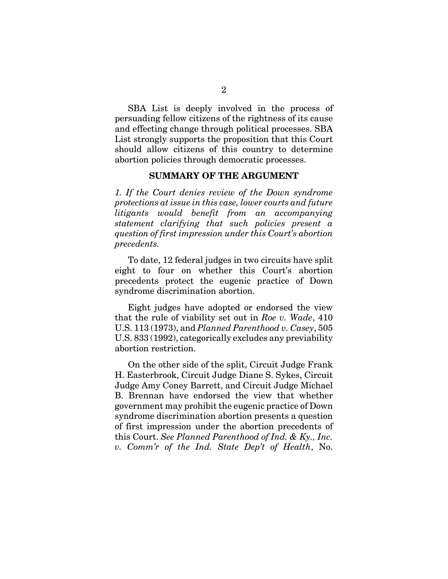SBA List is deeply involved in the process of persuading fellow citizens of the rightness of its cause and effecting change through political processes. SBA List strongly supports the proposition that this Court should allow citizens of this country to determine abortion policies through democratic processes.

#### **SUMMARY OF THE ARGUMENT**

*1. If the Court denies review of the Down syndrome protections at issue in this case, lower courts and future litigants would benefit from an accompanying statement clarifying that such policies present a question of first impression under this Court's abortion precedents.* 

To date, 12 federal judges in two circuits have split eight to four on whether this Court's abortion precedents protect the eugenic practice of Down syndrome discrimination abortion.

Eight judges have adopted or endorsed the view that the rule of viability set out in *Roe v. Wade*, 410 U.S. 113 (1973), and *Planned Parenthood v. Casey*, 505 U.S. 833 (1992), categorically excludes any previability abortion restriction.

On the other side of the split, Circuit Judge Frank H. Easterbrook, Circuit Judge Diane S. Sykes, Circuit Judge Amy Coney Barrett, and Circuit Judge Michael B. Brennan have endorsed the view that whether government may prohibit the eugenic practice of Down syndrome discrimination abortion presents a question of first impression under the abortion precedents of this Court. *See Planned Parenthood of Ind. & Ky., Inc. v. Comm'r of the Ind. State Dep't of Health*, No.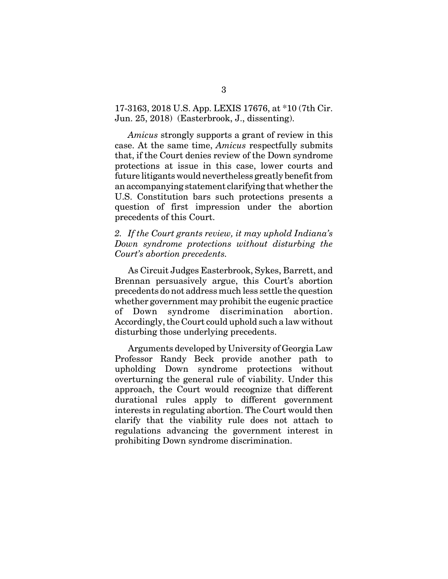17-3163, 2018 U.S. App. LEXIS 17676, at \*10 (7th Cir. Jun. 25, 2018) (Easterbrook, J., dissenting).

*Amicus* strongly supports a grant of review in this case. At the same time, *Amicus* respectfully submits that, if the Court denies review of the Down syndrome protections at issue in this case, lower courts and future litigants would nevertheless greatly benefit from an accompanying statement clarifying that whether the U.S. Constitution bars such protections presents a question of first impression under the abortion precedents of this Court.

*2. If the Court grants review, it may uphold Indiana's Down syndrome protections without disturbing the Court's abortion precedents.* 

As Circuit Judges Easterbrook, Sykes, Barrett, and Brennan persuasively argue, this Court's abortion precedents do not address much less settle the question whether government may prohibit the eugenic practice of Down syndrome discrimination abortion. Accordingly, the Court could uphold such a law without disturbing those underlying precedents.

Arguments developed by University of Georgia Law Professor Randy Beck provide another path to upholding Down syndrome protections without overturning the general rule of viability. Under this approach, the Court would recognize that different durational rules apply to different government interests in regulating abortion. The Court would then clarify that the viability rule does not attach to regulations advancing the government interest in prohibiting Down syndrome discrimination.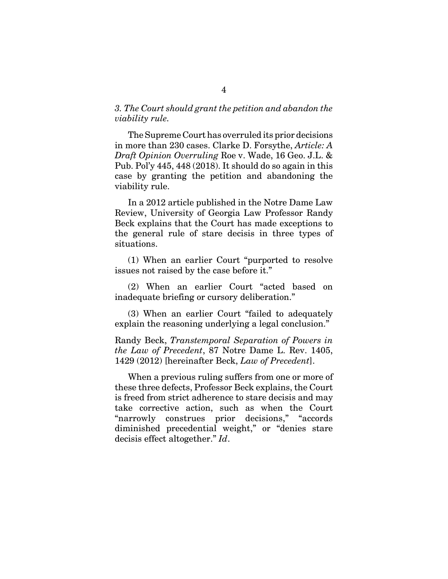#### *3. The Court should grant the petition and abandon the viability rule.*

The Supreme Court has overruled its prior decisions in more than 230 cases. Clarke D. Forsythe, *Article: A Draft Opinion Overruling* Roe v. Wade, 16 Geo. J.L. & Pub. Pol'y 445, 448 (2018). It should do so again in this case by granting the petition and abandoning the viability rule.

In a 2012 article published in the Notre Dame Law Review, University of Georgia Law Professor Randy Beck explains that the Court has made exceptions to the general rule of stare decisis in three types of situations.

(1) When an earlier Court "purported to resolve issues not raised by the case before it."

(2) When an earlier Court "acted based on inadequate briefing or cursory deliberation."

(3) When an earlier Court "failed to adequately explain the reasoning underlying a legal conclusion."

Randy Beck, *Transtemporal Separation of Powers in the Law of Precedent*, 87 Notre Dame L. Rev. 1405, 1429 (2012) [hereinafter Beck, *Law of Precedent*].

When a previous ruling suffers from one or more of these three defects, Professor Beck explains, the Court is freed from strict adherence to stare decisis and may take corrective action, such as when the Court "narrowly construes prior decisions," "accords diminished precedential weight," or "denies stare decisis effect altogether." *Id*.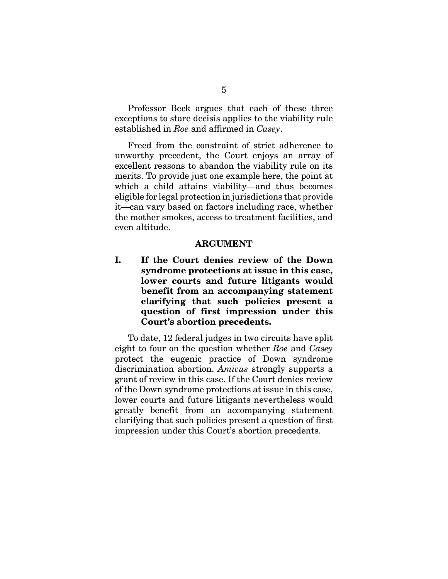Professor Beck argues that each of these three exceptions to stare decisis applies to the viability rule established in *Roe* and affirmed in *Casey*.

Freed from the constraint of strict adherence to unworthy precedent, the Court enjoys an array of excellent reasons to abandon the viability rule on its merits. To provide just one example here, the point at which a child attains viability—and thus becomes eligible for legal protection in jurisdictions that provide it—can vary based on factors including race, whether the mother smokes, access to treatment facilities, and even altitude.

#### **ARGUMENT**

**I. If the Court denies review of the Down syndrome protections at issue in this case, lower courts and future litigants would benefit from an accompanying statement clarifying that such policies present a question of first impression under this Court's abortion precedents.** 

To date, 12 federal judges in two circuits have split eight to four on the question whether *Roe* and *Casey* protect the eugenic practice of Down syndrome discrimination abortion. *Amicus* strongly supports a grant of review in this case. If the Court denies review of the Down syndrome protections at issue in this case, lower courts and future litigants nevertheless would greatly benefit from an accompanying statement clarifying that such policies present a question of first impression under this Court's abortion precedents.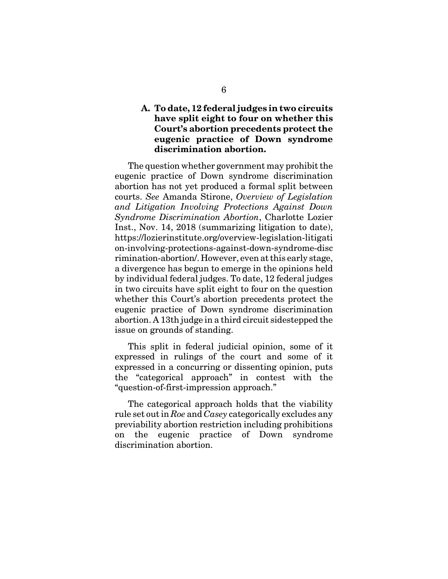#### **A. To date, 12 federal judges in two circuits have split eight to four on whether this Court's abortion precedents protect the eugenic practice of Down syndrome discrimination abortion.**

The question whether government may prohibit the eugenic practice of Down syndrome discrimination abortion has not yet produced a formal split between courts. *See* Amanda Stirone, *Overview of Legislation and Litigation Involving Protections Against Down Syndrome Discrimination Abortion*, Charlotte Lozier Inst., Nov. 14, 2018 (summarizing litigation to date), https://lozierinstitute.org/overview-legislation-litigati on-involving-protections-against-down-syndrome-disc rimination-abortion/. However, even at this early stage, a divergence has begun to emerge in the opinions held by individual federal judges. To date, 12 federal judges in two circuits have split eight to four on the question whether this Court's abortion precedents protect the eugenic practice of Down syndrome discrimination abortion. A 13th judge in a third circuit sidestepped the issue on grounds of standing.

This split in federal judicial opinion, some of it expressed in rulings of the court and some of it expressed in a concurring or dissenting opinion, puts the "categorical approach" in contest with the "question-of-first-impression approach."

The categorical approach holds that the viability rule set out in *Roe* and *Casey* categorically excludes any previability abortion restriction including prohibitions on the eugenic practice of Down syndrome discrimination abortion.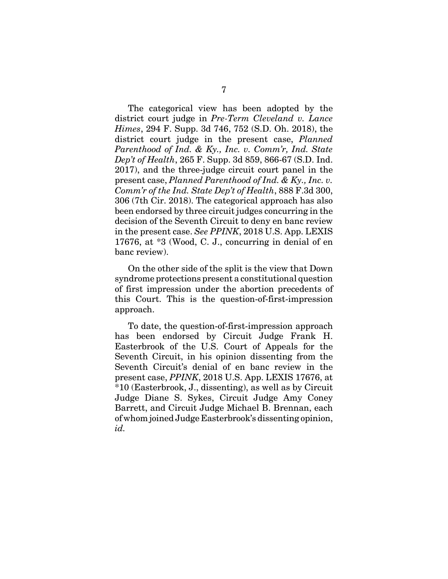The categorical view has been adopted by the district court judge in *Pre-Term Cleveland v. Lance Himes*, 294 F. Supp. 3d 746, 752 (S.D. Oh. 2018), the district court judge in the present case, *Planned Parenthood of Ind. & Ky., Inc. v. Comm'r, Ind. State Dep't of Health*, 265 F. Supp. 3d 859, 866-67 (S.D. Ind. 2017), and the three-judge circuit court panel in the present case, *Planned Parenthood of Ind. & Ky., Inc. v. Comm'r of the Ind. State Dep't of Health*, 888 F.3d 300, 306 (7th Cir. 2018). The categorical approach has also been endorsed by three circuit judges concurring in the decision of the Seventh Circuit to deny en banc review in the present case. *See PPINK*, 2018 U.S. App. LEXIS 17676, at \*3 (Wood, C. J., concurring in denial of en banc review).

On the other side of the split is the view that Down syndrome protections present a constitutional question of first impression under the abortion precedents of this Court. This is the question-of-first-impression approach.

To date, the question-of-first-impression approach has been endorsed by Circuit Judge Frank H. Easterbrook of the U.S. Court of Appeals for the Seventh Circuit, in his opinion dissenting from the Seventh Circuit's denial of en banc review in the present case, *PPINK*, 2018 U.S. App. LEXIS 17676, at \*10 (Easterbrook, J., dissenting), as well as by Circuit Judge Diane S. Sykes, Circuit Judge Amy Coney Barrett, and Circuit Judge Michael B. Brennan, each of whom joined Judge Easterbrook's dissenting opinion, *id.*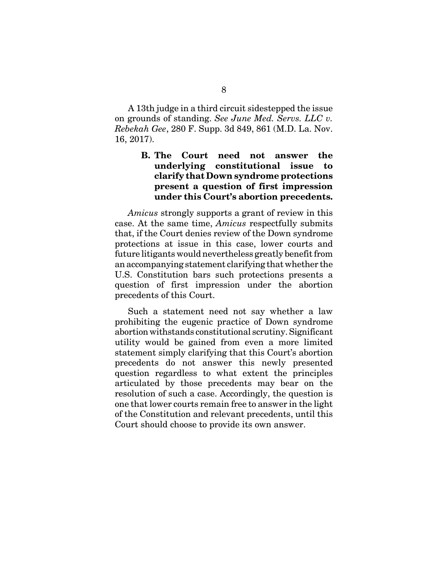A 13th judge in a third circuit sidestepped the issue on grounds of standing. *See June Med. Servs. LLC v. Rebekah Gee*, 280 F. Supp. 3d 849, 861 (M.D. La. Nov. 16, 2017).

## **B. The Court need not answer the underlying constitutional issue to clarify that Down syndrome protections present a question of first impression under this Court's abortion precedents.**

*Amicus* strongly supports a grant of review in this case. At the same time, *Amicus* respectfully submits that, if the Court denies review of the Down syndrome protections at issue in this case, lower courts and future litigants would nevertheless greatly benefit from an accompanying statement clarifying that whether the U.S. Constitution bars such protections presents a question of first impression under the abortion precedents of this Court.

Such a statement need not say whether a law prohibiting the eugenic practice of Down syndrome abortion withstands constitutional scrutiny. Significant utility would be gained from even a more limited statement simply clarifying that this Court's abortion precedents do not answer this newly presented question regardless to what extent the principles articulated by those precedents may bear on the resolution of such a case. Accordingly, the question is one that lower courts remain free to answer in the light of the Constitution and relevant precedents, until this Court should choose to provide its own answer.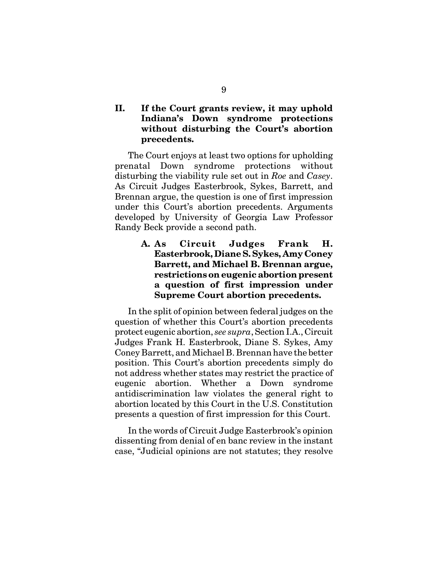## **II. If the Court grants review, it may uphold Indiana's Down syndrome protections without disturbing the Court's abortion precedents.**

The Court enjoys at least two options for upholding prenatal Down syndrome protections without disturbing the viability rule set out in *Roe* and *Casey*. As Circuit Judges Easterbrook, Sykes, Barrett, and Brennan argue, the question is one of first impression under this Court's abortion precedents. Arguments developed by University of Georgia Law Professor Randy Beck provide a second path.

## **A. As Circuit Judges Frank H. Easterbrook, Diane S. Sykes, Amy Coney Barrett, and Michael B. Brennan argue, restrictions on eugenic abortion present a question of first impression under Supreme Court abortion precedents.**

In the split of opinion between federal judges on the question of whether this Court's abortion precedents protect eugenic abortion, *see supra*, Section I.A., Circuit Judges Frank H. Easterbrook, Diane S. Sykes, Amy Coney Barrett, and Michael B. Brennan have the better position. This Court's abortion precedents simply do not address whether states may restrict the practice of eugenic abortion. Whether a Down syndrome antidiscrimination law violates the general right to abortion located by this Court in the U.S. Constitution presents a question of first impression for this Court.

In the words of Circuit Judge Easterbrook's opinion dissenting from denial of en banc review in the instant case, "Judicial opinions are not statutes; they resolve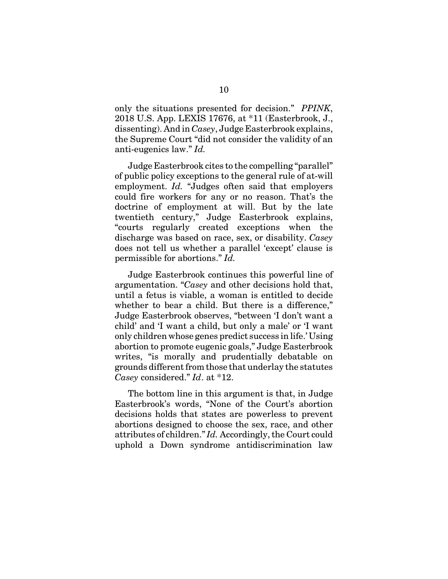only the situations presented for decision." *PPINK*, 2018 U.S. App. LEXIS 17676, at \*11 (Easterbrook, J., dissenting). And in *Casey*, Judge Easterbrook explains, the Supreme Court "did not consider the validity of an anti-eugenics law." *Id.*

Judge Easterbrook cites to the compelling "parallel" of public policy exceptions to the general rule of at-will employment. *Id.* "Judges often said that employers could fire workers for any or no reason. That's the doctrine of employment at will. But by the late twentieth century," Judge Easterbrook explains, "courts regularly created exceptions when the discharge was based on race, sex, or disability. *Casey* does not tell us whether a parallel 'except' clause is permissible for abortions." *Id.*

Judge Easterbrook continues this powerful line of argumentation. "*Casey* and other decisions hold that, until a fetus is viable, a woman is entitled to decide whether to bear a child. But there is a difference," Judge Easterbrook observes, "between 'I don't want a child' and 'I want a child, but only a male' or 'I want only children whose genes predict success in life.' Using abortion to promote eugenic goals," Judge Easterbrook writes, "is morally and prudentially debatable on grounds different from those that underlay the statutes *Casey* considered." *Id*. at \*12.

The bottom line in this argument is that, in Judge Easterbrook's words, "None of the Court's abortion decisions holds that states are powerless to prevent abortions designed to choose the sex, race, and other attributes of children." *Id.* Accordingly, the Court could uphold a Down syndrome antidiscrimination law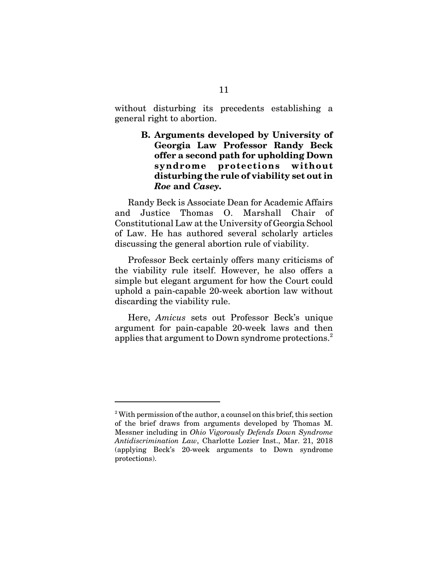without disturbing its precedents establishing a general right to abortion.

> **B. Arguments developed by University of Georgia Law Professor Randy Beck offer a second path for upholding Down syndrome protections without disturbing the rule of viability set out in** *Roe* **and** *Casey***.**

Randy Beck is Associate Dean for Academic Affairs and Justice Thomas O. Marshall Chair of Constitutional Law at the University of Georgia School of Law. He has authored several scholarly articles discussing the general abortion rule of viability.

Professor Beck certainly offers many criticisms of the viability rule itself. However, he also offers a simple but elegant argument for how the Court could uphold a pain-capable 20-week abortion law without discarding the viability rule.

Here, *Amicus* sets out Professor Beck's unique argument for pain-capable 20-week laws and then applies that argument to Down syndrome protections.<sup>2</sup>

 $2^2$  With permission of the author, a counsel on this brief, this section of the brief draws from arguments developed by Thomas M. Messner including in *Ohio Vigorously Defends Down Syndrome Antidiscrimination Law*, Charlotte Lozier Inst., Mar. 21, 2018 (applying Beck's 20-week arguments to Down syndrome protections).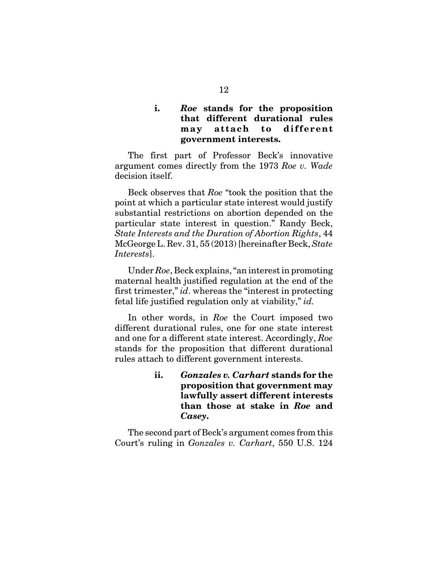#### **i.** *Roe* **stands for the proposition that different durational rules may attach to different government interests.**

The first part of Professor Beck's innovative argument comes directly from the 1973 *Roe v. Wade* decision itself.

Beck observes that *Roe* "took the position that the point at which a particular state interest would justify substantial restrictions on abortion depended on the particular state interest in question." Randy Beck, *State Interests and the Duration of Abortion Rights*, 44 McGeorge L. Rev. 31, 55 (2013) [hereinafter Beck, *State Interests*].

Under *Roe*, Beck explains, "an interest in promoting maternal health justified regulation at the end of the first trimester," *id*. whereas the "interest in protecting fetal life justified regulation only at viability," *id.* 

In other words, in *Roe* the Court imposed two different durational rules, one for one state interest and one for a different state interest. Accordingly, *Roe* stands for the proposition that different durational rules attach to different government interests.

> **ii.** *Gonzales v. Carhart* **stands for the proposition that government may lawfully assert different interests than those at stake in** *Roe* **and** *Casey***.**

The second part of Beck's argument comes from this Court's ruling in *Gonzales v. Carhart*, 550 U.S. 124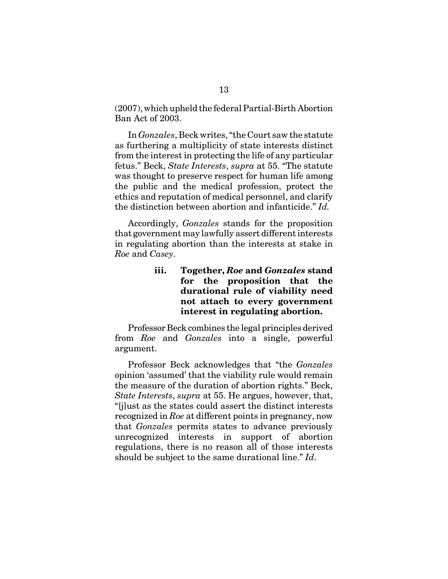(2007), which upheld the federal Partial-Birth Abortion Ban Act of 2003.

In *Gonzales*, Beck writes, "the Court saw the statute as furthering a multiplicity of state interests distinct from the interest in protecting the life of any particular fetus." Beck, *State Interests*, *supra* at 55. "The statute was thought to preserve respect for human life among the public and the medical profession, protect the ethics and reputation of medical personnel, and clarify the distinction between abortion and infanticide." *Id.*

Accordingly, *Gonzales* stands for the proposition that government may lawfully assert different interests in regulating abortion than the interests at stake in *Roe* and *Casey*.

## **iii. Together,** *Roe* **and** *Gonzales* **stand for the proposition that the durational rule of viability need not attach to every government interest in regulating abortion.**

Professor Beck combines the legal principles derived from *Roe* and *Gonzales* into a single, powerful argument.

Professor Beck acknowledges that "the *Gonzales* opinion 'assumed' that the viability rule would remain the measure of the duration of abortion rights." Beck, *State Interests*, *supra* at 55. He argues, however, that, "[j]ust as the states could assert the distinct interests recognized in *Roe* at different points in pregnancy, now that *Gonzales* permits states to advance previously unrecognized interests in support of abortion regulations, there is no reason all of those interests should be subject to the same durational line." *Id*.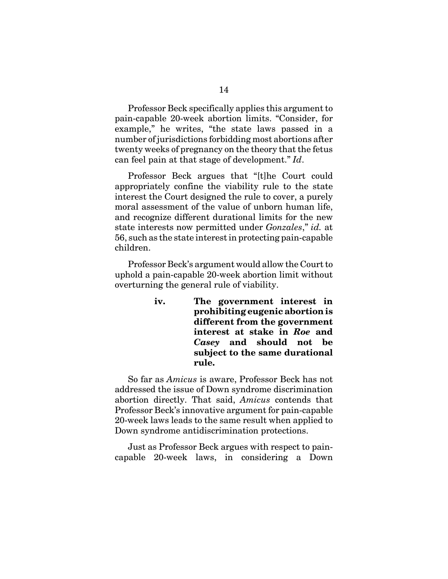Professor Beck specifically applies this argument to pain-capable 20-week abortion limits. "Consider, for example," he writes, "the state laws passed in a number of jurisdictions forbidding most abortions after twenty weeks of pregnancy on the theory that the fetus can feel pain at that stage of development." *Id*.

Professor Beck argues that "[t]he Court could appropriately confine the viability rule to the state interest the Court designed the rule to cover, a purely moral assessment of the value of unborn human life, and recognize different durational limits for the new state interests now permitted under *Gonzales*," *id.* at 56, such as the state interest in protecting pain-capable children.

Professor Beck's argument would allow the Court to uphold a pain-capable 20-week abortion limit without overturning the general rule of viability.

> **iv. The government interest in prohibiting eugenic abortion is different from the government interest at stake in** *Roe* **and** *Casey* **and should not be subject to the same durational rule.**

So far as *Amicus* is aware, Professor Beck has not addressed the issue of Down syndrome discrimination abortion directly. That said, *Amicus* contends that Professor Beck's innovative argument for pain-capable 20-week laws leads to the same result when applied to Down syndrome antidiscrimination protections.

Just as Professor Beck argues with respect to paincapable 20-week laws, in considering a Down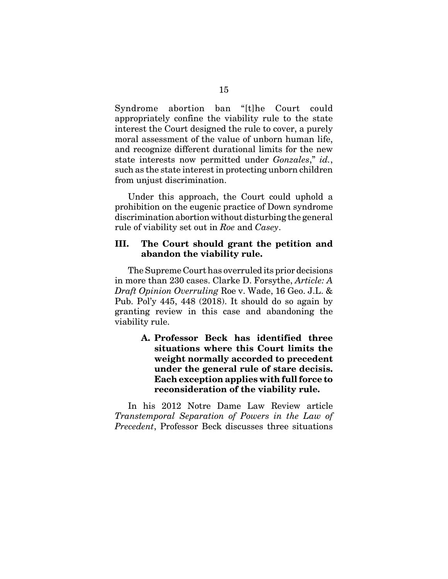Syndrome abortion ban "[t]he Court could appropriately confine the viability rule to the state interest the Court designed the rule to cover, a purely moral assessment of the value of unborn human life, and recognize different durational limits for the new state interests now permitted under *Gonzales*," *id.*, such as the state interest in protecting unborn children from unjust discrimination.

Under this approach, the Court could uphold a prohibition on the eugenic practice of Down syndrome discrimination abortion without disturbing the general rule of viability set out in *Roe* and *Casey*.

#### **III. The Court should grant the petition and abandon the viability rule.**

The Supreme Court has overruled its prior decisions in more than 230 cases. Clarke D. Forsythe, *Article: A Draft Opinion Overruling* Roe v. Wade, 16 Geo. J.L. & Pub. Pol'y 445, 448 (2018). It should do so again by granting review in this case and abandoning the viability rule.

> **A. Professor Beck has identified three situations where this Court limits the weight normally accorded to precedent under the general rule of stare decisis. Each exception applies with full force to reconsideration of the viability rule.**

In his 2012 Notre Dame Law Review article *Transtemporal Separation of Powers in the Law of Precedent*, Professor Beck discusses three situations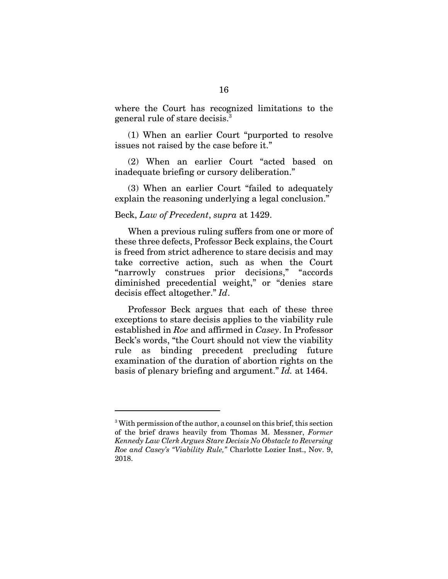where the Court has recognized limitations to the general rule of stare decisis.<sup>3</sup>

(1) When an earlier Court "purported to resolve issues not raised by the case before it."

(2) When an earlier Court "acted based on inadequate briefing or cursory deliberation."

(3) When an earlier Court "failed to adequately explain the reasoning underlying a legal conclusion."

#### Beck, *Law of Precedent*, *supra* at 1429.

When a previous ruling suffers from one or more of these three defects, Professor Beck explains, the Court is freed from strict adherence to stare decisis and may take corrective action, such as when the Court "narrowly construes prior decisions," "accords diminished precedential weight," or "denies stare decisis effect altogether." *Id*.

Professor Beck argues that each of these three exceptions to stare decisis applies to the viability rule established in *Roe* and affirmed in *Casey*. In Professor Beck's words, "the Court should not view the viability rule as binding precedent precluding future examination of the duration of abortion rights on the basis of plenary briefing and argument." *Id.* at 1464.

<sup>&</sup>lt;sup>3</sup> With permission of the author, a counsel on this brief, this section of the brief draws heavily from Thomas M. Messner, *Former Kennedy Law Clerk Argues Stare Decisis No Obstacle to Reversing Roe and Casey's "Viability Rule,"* Charlotte Lozier Inst., Nov. 9, 2018.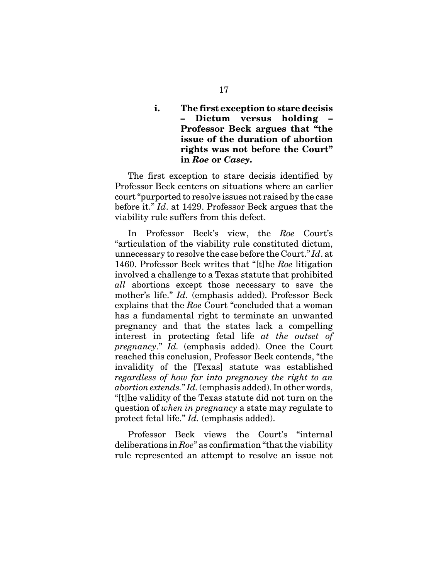## **i. The first exception to stare decisis – Dictum versus holding – Professor Beck argues that "the issue of the duration of abortion rights was not before the Court" in** *Roe* **or** *Casey***.**

The first exception to stare decisis identified by Professor Beck centers on situations where an earlier court "purported to resolve issues not raised by the case before it." *Id*. at 1429. Professor Beck argues that the viability rule suffers from this defect.

In Professor Beck's view, the *Roe* Court's "articulation of the viability rule constituted dictum, unnecessary to resolve the case before the Court." *Id*. at 1460. Professor Beck writes that "[t]he *Roe* litigation involved a challenge to a Texas statute that prohibited *all* abortions except those necessary to save the mother's life." *Id.* (emphasis added). Professor Beck explains that the *Roe* Court "concluded that a woman has a fundamental right to terminate an unwanted pregnancy and that the states lack a compelling interest in protecting fetal life *at the outset of pregnancy*." *Id.* (emphasis added). Once the Court reached this conclusion, Professor Beck contends, "the invalidity of the [Texas] statute was established *regardless of how far into pregnancy the right to an abortion extends.*" *Id.* (emphasis added). In other words, "[t]he validity of the Texas statute did not turn on the question of *when in pregnancy* a state may regulate to protect fetal life." *Id.* (emphasis added).

Professor Beck views the Court's "internal deliberations in *Roe*" as confirmation "that the viability rule represented an attempt to resolve an issue not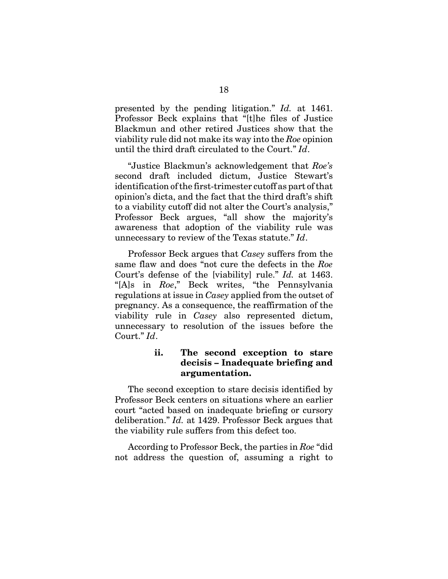presented by the pending litigation." *Id.* at 1461. Professor Beck explains that "[t]he files of Justice Blackmun and other retired Justices show that the viability rule did not make its way into the *Roe* opinion until the third draft circulated to the Court." *Id*.

"Justice Blackmun's acknowledgement that *Roe's* second draft included dictum, Justice Stewart's identification of the first-trimester cutoff as part of that opinion's dicta, and the fact that the third draft's shift to a viability cutoff did not alter the Court's analysis," Professor Beck argues, "all show the majority's awareness that adoption of the viability rule was unnecessary to review of the Texas statute." *Id*.

Professor Beck argues that *Casey* suffers from the same flaw and does "not cure the defects in the *Roe* Court's defense of the [viability] rule." *Id.* at 1463. "[A]s in *Roe*," Beck writes, "the Pennsylvania regulations at issue in *Casey* applied from the outset of pregnancy. As a consequence, the reaffirmation of the viability rule in *Casey* also represented dictum, unnecessary to resolution of the issues before the Court." *Id*.

## **ii. The second exception to stare decisis – Inadequate briefing and argumentation.**

The second exception to stare decisis identified by Professor Beck centers on situations where an earlier court "acted based on inadequate briefing or cursory deliberation." *Id.* at 1429. Professor Beck argues that the viability rule suffers from this defect too.

According to Professor Beck, the parties in *Roe* "did not address the question of, assuming a right to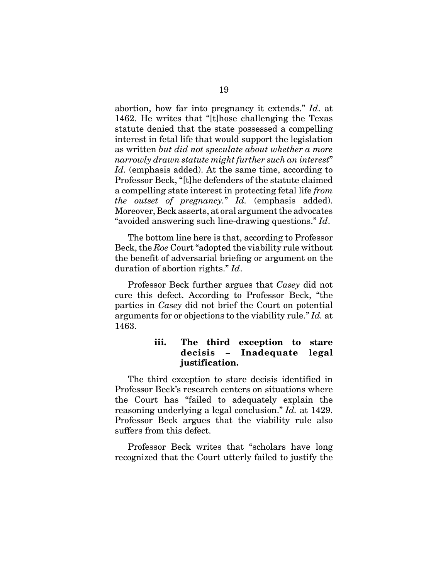abortion, how far into pregnancy it extends." *Id*. at 1462. He writes that "[t]hose challenging the Texas statute denied that the state possessed a compelling interest in fetal life that would support the legislation as written *but did not speculate about whether a more narrowly drawn statute might further such an interest*" Id. (emphasis added). At the same time, according to Professor Beck, "[t]he defenders of the statute claimed a compelling state interest in protecting fetal life *from the outset of pregnancy.*" *Id.* (emphasis added). Moreover, Beck asserts, at oral argument the advocates "avoided answering such line-drawing questions." *Id*.

The bottom line here is that, according to Professor Beck, the *Roe* Court "adopted the viability rule without the benefit of adversarial briefing or argument on the duration of abortion rights." *Id*.

Professor Beck further argues that *Casey* did not cure this defect. According to Professor Beck, "the parties in *Casey* did not brief the Court on potential arguments for or objections to the viability rule." *Id.* at 1463.

#### **iii. The third exception to stare decisis – Inadequate legal justification.**

The third exception to stare decisis identified in Professor Beck's research centers on situations where the Court has "failed to adequately explain the reasoning underlying a legal conclusion." *Id.* at 1429. Professor Beck argues that the viability rule also suffers from this defect.

Professor Beck writes that "scholars have long recognized that the Court utterly failed to justify the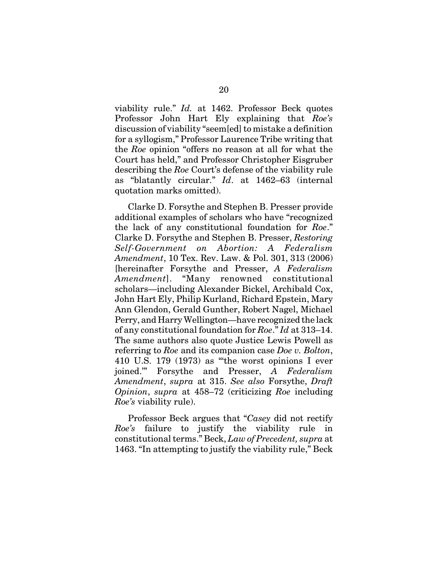viability rule." *Id.* at 1462. Professor Beck quotes Professor John Hart Ely explaining that *Roe's* discussion of viability "seem[ed] to mistake a definition for a syllogism," Professor Laurence Tribe writing that the *Roe* opinion "offers no reason at all for what the Court has held," and Professor Christopher Eisgruber describing the *Roe* Court's defense of the viability rule as "blatantly circular." *Id*. at 1462–63 (internal quotation marks omitted).

Clarke D. Forsythe and Stephen B. Presser provide additional examples of scholars who have "recognized the lack of any constitutional foundation for *Roe*." Clarke D. Forsythe and Stephen B. Presser, *Restoring Self-Government on Abortion: A Federalism Amendment*, 10 Tex. Rev. Law. & Pol. 301, 313 (2006) [hereinafter Forsythe and Presser, *A Federalism Amendment*]. "Many renowned constitutional scholars—including Alexander Bickel, Archibald Cox, John Hart Ely, Philip Kurland, Richard Epstein, Mary Ann Glendon, Gerald Gunther, Robert Nagel, Michael Perry, and Harry Wellington—have recognized the lack of any constitutional foundation for *Roe*." *Id* at 313–14. The same authors also quote Justice Lewis Powell as referring to *Roe* and its companion case *Doe v. Bolton*, 410 U.S. 179 (1973) as "'the worst opinions I ever joined.'" Forsythe and Presser, *A Federalism Amendment*, *supra* at 315. *See also* Forsythe, *Draft Opinion*, *supra* at 458–72 (criticizing *Roe* including *Roe's* viability rule).

Professor Beck argues that "*Casey* did not rectify *Roe's* failure to justify the viability rule in constitutional terms." Beck, *Law of Precedent, supra* at 1463. "In attempting to justify the viability rule," Beck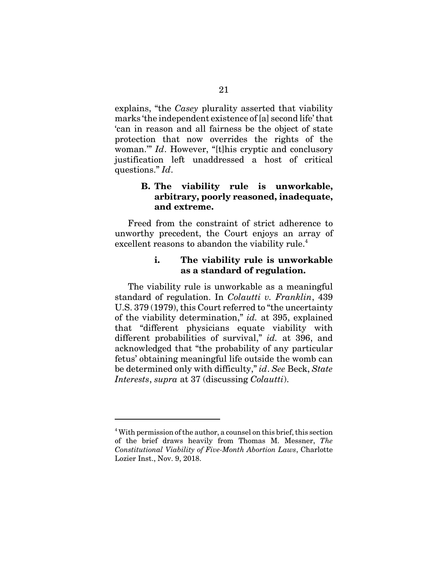explains, "the *Casey* plurality asserted that viability marks 'the independent existence of [a] second life' that 'can in reason and all fairness be the object of state protection that now overrides the rights of the woman." *Id.* However, "[t]his cryptic and conclusory justification left unaddressed a host of critical questions." *Id*.

#### **B. The viability rule is unworkable, arbitrary, poorly reasoned, inadequate, and extreme.**

Freed from the constraint of strict adherence to unworthy precedent, the Court enjoys an array of excellent reasons to abandon the viability rule.<sup>4</sup>

#### **i. The viability rule is unworkable as a standard of regulation.**

The viability rule is unworkable as a meaningful standard of regulation. In *Colautti v. Franklin*, 439 U.S. 379 (1979), this Court referred to "the uncertainty of the viability determination," *id.* at 395, explained that "different physicians equate viability with different probabilities of survival," *id.* at 396, and acknowledged that "the probability of any particular fetus' obtaining meaningful life outside the womb can be determined only with difficulty," *id*. *See* Beck, *State Interests*, *supra* at 37 (discussing *Colautti*).

<sup>&</sup>lt;sup>4</sup> With permission of the author, a counsel on this brief, this section of the brief draws heavily from Thomas M. Messner, *The Constitutional Viability of Five-Month Abortion Laws*, Charlotte Lozier Inst., Nov. 9, 2018.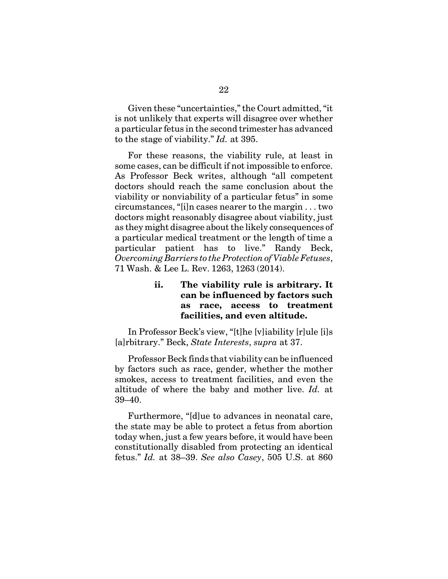Given these "uncertainties," the Court admitted, "it is not unlikely that experts will disagree over whether a particular fetus in the second trimester has advanced to the stage of viability." *Id.* at 395.

For these reasons, the viability rule, at least in some cases, can be difficult if not impossible to enforce. As Professor Beck writes, although "all competent doctors should reach the same conclusion about the viability or nonviability of a particular fetus" in some circumstances, "[i]n cases nearer to the margin . . . two doctors might reasonably disagree about viability, just as they might disagree about the likely consequences of a particular medical treatment or the length of time a particular patient has to live." Randy Beck, *Overcoming Barriers to the Protection of Viable Fetuses*, 71 Wash. & Lee L. Rev. 1263, 1263 (2014).

### **ii. The viability rule is arbitrary. It can be influenced by factors such as race, access to treatment facilities, and even altitude.**

In Professor Beck's view, "[t]he [v]iability [r]ule [i]s [a]rbitrary." Beck, *State Interests*, *supra* at 37.

Professor Beck finds that viability can be influenced by factors such as race, gender, whether the mother smokes, access to treatment facilities, and even the altitude of where the baby and mother live. *Id.* at 39–40.

Furthermore, "[d]ue to advances in neonatal care, the state may be able to protect a fetus from abortion today when, just a few years before, it would have been constitutionally disabled from protecting an identical fetus." *Id.* at 38–39. *See also Casey*, 505 U.S. at 860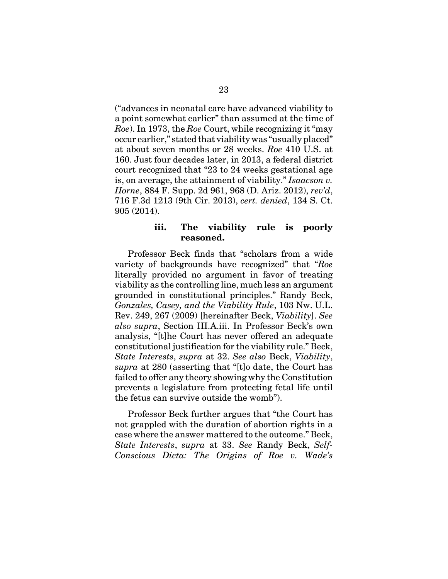("advances in neonatal care have advanced viability to a point somewhat earlier" than assumed at the time of *Roe*). In 1973, the *Roe* Court, while recognizing it "may occur earlier," stated that viability was "usually placed" at about seven months or 28 weeks. *Roe* 410 U.S. at 160. Just four decades later, in 2013, a federal district court recognized that "23 to 24 weeks gestational age is, on average, the attainment of viability." *Isaacson v. Horne*, 884 F. Supp. 2d 961, 968 (D. Ariz. 2012), *rev'd*, 716 F.3d 1213 (9th Cir. 2013), *cert. denied*, 134 S. Ct. 905 (2014).

#### **iii. The viability rule is poorly reasoned.**

Professor Beck finds that "scholars from a wide variety of backgrounds have recognized" that "*Roe* literally provided no argument in favor of treating viability as the controlling line, much less an argument grounded in constitutional principles." Randy Beck, *Gonzales, Casey, and the Viability Rule*, 103 Nw. U.L. Rev. 249, 267 (2009) [hereinafter Beck, *Viability*]. *See also supra*, Section III.A.iii. In Professor Beck's own analysis, "[t]he Court has never offered an adequate constitutional justification for the viability rule." Beck, *State Interests*, *supra* at 32. *See also* Beck, *Viability*, *supra* at 280 (asserting that "[t]o date, the Court has failed to offer any theory showing why the Constitution prevents a legislature from protecting fetal life until the fetus can survive outside the womb").

Professor Beck further argues that "the Court has not grappled with the duration of abortion rights in a case where the answer mattered to the outcome." Beck, *State Interests*, *supra* at 33. *See* Randy Beck, *Self-Conscious Dicta: The Origins of Roe v. Wade's*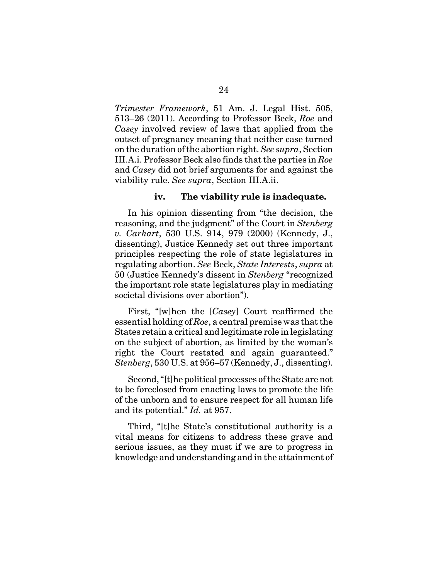*Trimester Framework*, 51 Am. J. Legal Hist. 505, 513–26 (2011). According to Professor Beck, *Roe* and *Casey* involved review of laws that applied from the outset of pregnancy meaning that neither case turned on the duration of the abortion right. *See supra*, Section III.A.i. Professor Beck also finds that the parties in *Roe* and *Casey* did not brief arguments for and against the viability rule. *See supra*, Section III.A.ii.

#### **iv. The viability rule is inadequate.**

In his opinion dissenting from "the decision, the reasoning, and the judgment" of the Court in *Stenberg v. Carhart*, 530 U.S. 914, 979 (2000) (Kennedy, J., dissenting), Justice Kennedy set out three important principles respecting the role of state legislatures in regulating abortion. *See* Beck, *State Interests*, *supra* at 50 (Justice Kennedy's dissent in *Stenberg* "recognized the important role state legislatures play in mediating societal divisions over abortion").

First, "[w]hen the [*Casey*] Court reaffirmed the essential holding of *Roe*, a central premise was that the States retain a critical and legitimate role in legislating on the subject of abortion, as limited by the woman's right the Court restated and again guaranteed." *Stenberg*, 530 U.S. at 956–57 (Kennedy, J., dissenting).

Second, "[t]he political processes of the State are not to be foreclosed from enacting laws to promote the life of the unborn and to ensure respect for all human life and its potential." *Id.* at 957.

Third, "[t]he State's constitutional authority is a vital means for citizens to address these grave and serious issues, as they must if we are to progress in knowledge and understanding and in the attainment of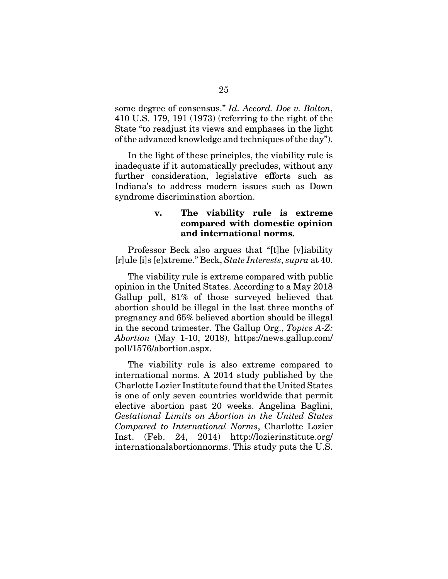some degree of consensus." *Id. Accord. Doe v. Bolton*, 410 U.S. 179, 191 (1973) (referring to the right of the State "to readjust its views and emphases in the light of the advanced knowledge and techniques of the day").

In the light of these principles, the viability rule is inadequate if it automatically precludes, without any further consideration, legislative efforts such as Indiana's to address modern issues such as Down syndrome discrimination abortion.

#### **v. The viability rule is extreme compared with domestic opinion and international norms.**

Professor Beck also argues that "[t]he [v]iability [r]ule [i]s [e]xtreme." Beck, *State Interests*, *supra* at 40.

The viability rule is extreme compared with public opinion in the United States. According to a May 2018 Gallup poll, 81% of those surveyed believed that abortion should be illegal in the last three months of pregnancy and 65% believed abortion should be illegal in the second trimester. The Gallup Org., *Topics A-Z: Abortion* (May 1-10, 2018), https://news.gallup.com/ poll/1576/abortion.aspx.

The viability rule is also extreme compared to international norms. A 2014 study published by the Charlotte Lozier Institute found that the United States is one of only seven countries worldwide that permit elective abortion past 20 weeks. Angelina Baglini, *Gestational Limits on Abortion in the United States Compared to International Norms*, Charlotte Lozier Inst. (Feb. 24, 2014) http://lozierinstitute.org/ internationalabortionnorms. This study puts the U.S.